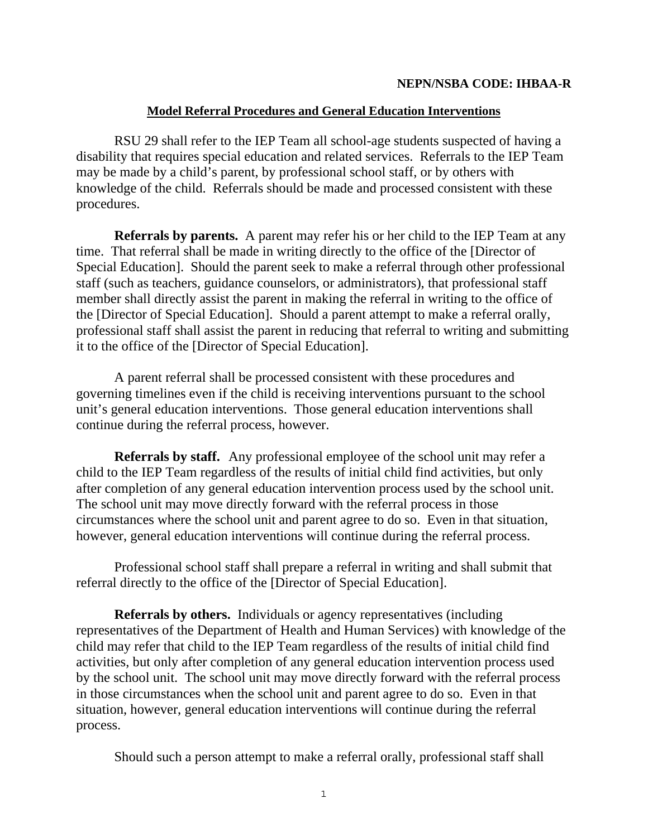#### **NEPN/NSBA CODE: IHBAA-R**

### **Model Referral Procedures and General Education Interventions**

RSU 29 shall refer to the IEP Team all school-age students suspected of having a disability that requires special education and related services. Referrals to the IEP Team may be made by a child's parent, by professional school staff, or by others with knowledge of the child. Referrals should be made and processed consistent with these procedures.

**Referrals by parents.** A parent may refer his or her child to the IEP Team at any time. That referral shall be made in writing directly to the office of the [Director of Special Education]. Should the parent seek to make a referral through other professional staff (such as teachers, guidance counselors, or administrators), that professional staff member shall directly assist the parent in making the referral in writing to the office of the [Director of Special Education]. Should a parent attempt to make a referral orally, professional staff shall assist the parent in reducing that referral to writing and submitting it to the office of the [Director of Special Education].

 A parent referral shall be processed consistent with these procedures and governing timelines even if the child is receiving interventions pursuant to the school unit's general education interventions. Those general education interventions shall continue during the referral process, however.

**Referrals by staff.** Any professional employee of the school unit may refer a child to the IEP Team regardless of the results of initial child find activities, but only after completion of any general education intervention process used by the school unit. The school unit may move directly forward with the referral process in those circumstances where the school unit and parent agree to do so. Even in that situation, however, general education interventions will continue during the referral process.

 Professional school staff shall prepare a referral in writing and shall submit that referral directly to the office of the [Director of Special Education].

**Referrals by others.** Individuals or agency representatives (including representatives of the Department of Health and Human Services) with knowledge of the child may refer that child to the IEP Team regardless of the results of initial child find activities, but only after completion of any general education intervention process used by the school unit. The school unit may move directly forward with the referral process in those circumstances when the school unit and parent agree to do so. Even in that situation, however, general education interventions will continue during the referral process.

Should such a person attempt to make a referral orally, professional staff shall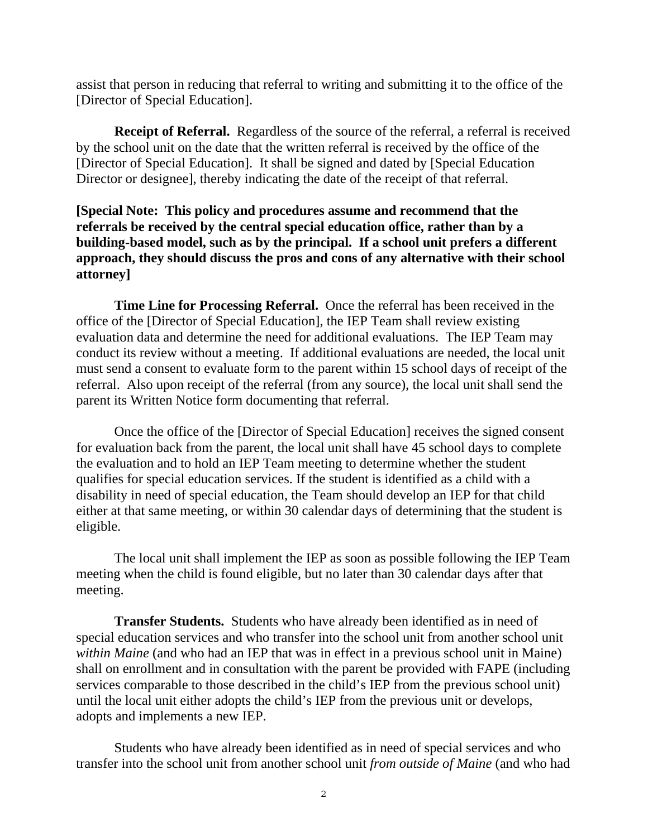assist that person in reducing that referral to writing and submitting it to the office of the [Director of Special Education].

**Receipt of Referral.** Regardless of the source of the referral, a referral is received by the school unit on the date that the written referral is received by the office of the [Director of Special Education]. It shall be signed and dated by [Special Education Director or designee], thereby indicating the date of the receipt of that referral.

## **[Special Note: This policy and procedures assume and recommend that the referrals be received by the central special education office, rather than by a building-based model, such as by the principal. If a school unit prefers a different approach, they should discuss the pros and cons of any alternative with their school attorney]**

**Time Line for Processing Referral.** Once the referral has been received in the office of the [Director of Special Education], the IEP Team shall review existing evaluation data and determine the need for additional evaluations. The IEP Team may conduct its review without a meeting. If additional evaluations are needed, the local unit must send a consent to evaluate form to the parent within 15 school days of receipt of the referral. Also upon receipt of the referral (from any source), the local unit shall send the parent its Written Notice form documenting that referral.

Once the office of the [Director of Special Education] receives the signed consent for evaluation back from the parent, the local unit shall have 45 school days to complete the evaluation and to hold an IEP Team meeting to determine whether the student qualifies for special education services. If the student is identified as a child with a disability in need of special education, the Team should develop an IEP for that child either at that same meeting, or within 30 calendar days of determining that the student is eligible.

The local unit shall implement the IEP as soon as possible following the IEP Team meeting when the child is found eligible, but no later than 30 calendar days after that meeting.

**Transfer Students.** Students who have already been identified as in need of special education services and who transfer into the school unit from another school unit *within Maine* (and who had an IEP that was in effect in a previous school unit in Maine) shall on enrollment and in consultation with the parent be provided with FAPE (including services comparable to those described in the child's IEP from the previous school unit) until the local unit either adopts the child's IEP from the previous unit or develops, adopts and implements a new IEP.

Students who have already been identified as in need of special services and who transfer into the school unit from another school unit *from outside of Maine* (and who had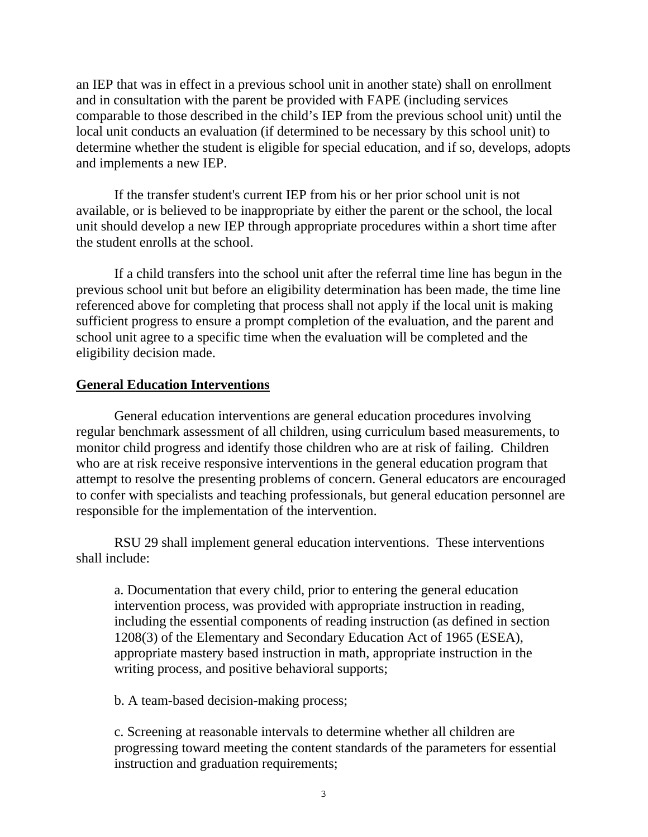an IEP that was in effect in a previous school unit in another state) shall on enrollment and in consultation with the parent be provided with FAPE (including services comparable to those described in the child's IEP from the previous school unit) until the local unit conducts an evaluation (if determined to be necessary by this school unit) to determine whether the student is eligible for special education, and if so, develops, adopts and implements a new IEP.

If the transfer student's current IEP from his or her prior school unit is not available, or is believed to be inappropriate by either the parent or the school, the local unit should develop a new IEP through appropriate procedures within a short time after the student enrolls at the school.

If a child transfers into the school unit after the referral time line has begun in the previous school unit but before an eligibility determination has been made, the time line referenced above for completing that process shall not apply if the local unit is making sufficient progress to ensure a prompt completion of the evaluation, and the parent and school unit agree to a specific time when the evaluation will be completed and the eligibility decision made.

### **General Education Interventions**

General education interventions are general education procedures involving regular benchmark assessment of all children, using curriculum based measurements, to monitor child progress and identify those children who are at risk of failing. Children who are at risk receive responsive interventions in the general education program that attempt to resolve the presenting problems of concern. General educators are encouraged to confer with specialists and teaching professionals, but general education personnel are responsible for the implementation of the intervention.

RSU 29 shall implement general education interventions. These interventions shall include:

a. Documentation that every child, prior to entering the general education intervention process, was provided with appropriate instruction in reading, including the essential components of reading instruction (as defined in section 1208(3) of the Elementary and Secondary Education Act of 1965 (ESEA), appropriate mastery based instruction in math, appropriate instruction in the writing process, and positive behavioral supports;

b. A team-based decision-making process;

c. Screening at reasonable intervals to determine whether all children are progressing toward meeting the content standards of the parameters for essential instruction and graduation requirements;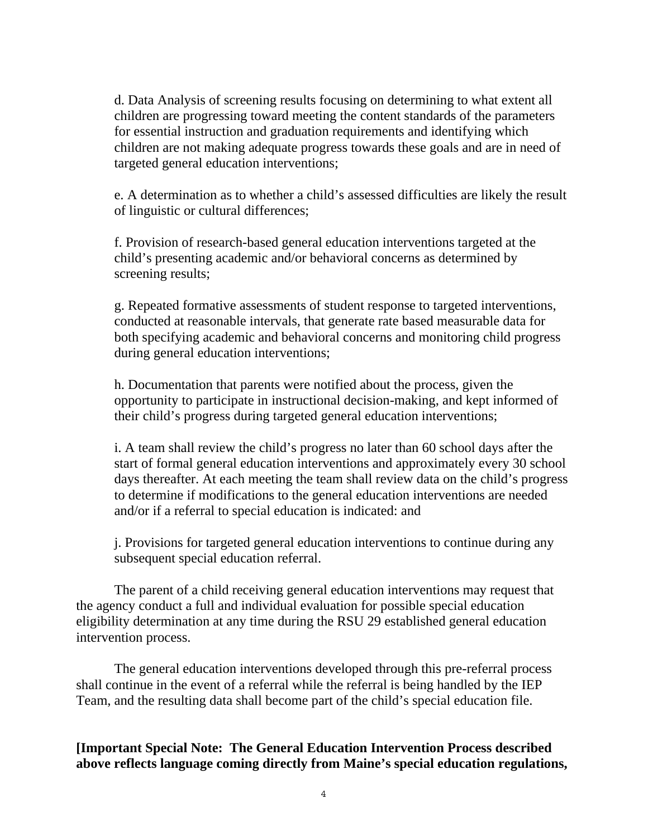d. Data Analysis of screening results focusing on determining to what extent all children are progressing toward meeting the content standards of the parameters for essential instruction and graduation requirements and identifying which children are not making adequate progress towards these goals and are in need of targeted general education interventions;

e. A determination as to whether a child's assessed difficulties are likely the result of linguistic or cultural differences;

f. Provision of research-based general education interventions targeted at the child's presenting academic and/or behavioral concerns as determined by screening results;

g. Repeated formative assessments of student response to targeted interventions, conducted at reasonable intervals, that generate rate based measurable data for both specifying academic and behavioral concerns and monitoring child progress during general education interventions;

h. Documentation that parents were notified about the process, given the opportunity to participate in instructional decision-making, and kept informed of their child's progress during targeted general education interventions;

i. A team shall review the child's progress no later than 60 school days after the start of formal general education interventions and approximately every 30 school days thereafter. At each meeting the team shall review data on the child's progress to determine if modifications to the general education interventions are needed and/or if a referral to special education is indicated: and

j. Provisions for targeted general education interventions to continue during any subsequent special education referral.

The parent of a child receiving general education interventions may request that the agency conduct a full and individual evaluation for possible special education eligibility determination at any time during the RSU 29 established general education intervention process.

The general education interventions developed through this pre-referral process shall continue in the event of a referral while the referral is being handled by the IEP Team, and the resulting data shall become part of the child's special education file.

# **[Important Special Note: The General Education Intervention Process described above reflects language coming directly from Maine's special education regulations,**